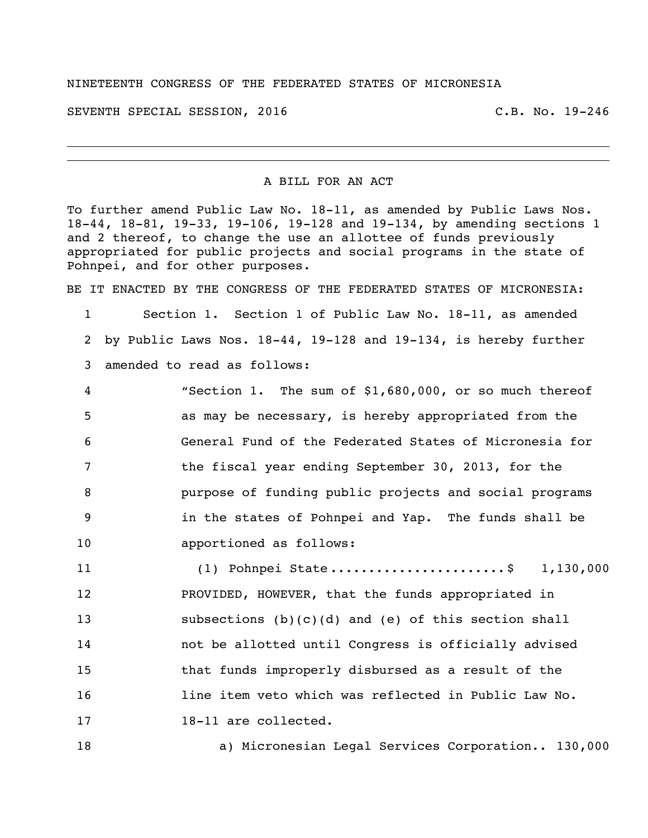## NINETEENTH CONGRESS OF THE FEDERATED STATES OF MICRONESIA

SEVENTH SPECIAL SESSION, 2016 C.B. No. 19-246

A BILL FOR AN ACT

To further amend Public Law No. 18-11, as amended by Public Laws Nos. 18-44, 18-81, 19-33, 19-106, 19-128 and 19-134, by amending sections 1 and 2 thereof, to change the use an allottee of funds previously appropriated for public projects and social programs in the state of Pohnpei, and for other purposes.

BE IT ENACTED BY THE CONGRESS OF THE FEDERATED STATES OF MICRONESIA:

1 Section 1. Section 1 of Public Law No. 18-11, as amended 2 by Public Laws Nos. 18-44, 19-128 and 19-134, is hereby further 3 amended to read as follows:

 "Section 1. The sum of \$1,680,000, or so much thereof as may be necessary, is hereby appropriated from the General Fund of the Federated States of Micronesia for the fiscal year ending September 30, 2013, for the purpose of funding public projects and social programs in the states of Pohnpei and Yap. The funds shall be apportioned as follows:

11 (1) Pohnpei State ............................\$ 1,130,000 12 PROVIDED, HOWEVER, that the funds appropriated in 13 subsections (b)(c)(d) and (e) of this section shall 14 not be allotted until Congress is officially advised 15 that funds improperly disbursed as a result of the 16 16 line item veto which was reflected in Public Law No. 17 18-11 are collected.

18 a) Micronesian Legal Services Corporation.. 130,000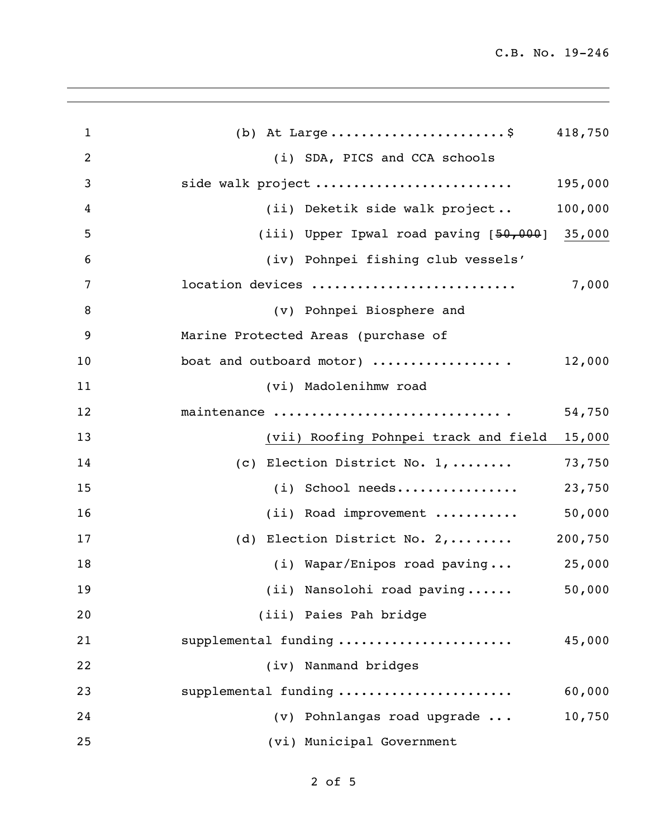| $\mathbf{1}$   | (b) At Large\$ 418,750                          |         |
|----------------|-------------------------------------------------|---------|
| $\overline{2}$ | (i) SDA, PICS and CCA schools                   |         |
| 3              | side walk project                               | 195,000 |
| 4              | (ii) Deketik side walk project                  | 100,000 |
| 5              | (iii) Upper Ipwal road paving $[50,000]$ 35,000 |         |
| 6              | (iv) Pohnpei fishing club vessels'              |         |
| 7              | location devices                                | 7,000   |
| 8              | (v) Pohnpei Biosphere and                       |         |
| 9              | Marine Protected Areas (purchase of             |         |
| 10             | boat and outboard motor)                        | 12,000  |
| 11             | (vi) Madolenihmw road                           |         |
| 12             | maintenance                                     | 54,750  |
| 13             | (vii) Roofing Pohnpei track and field           | 15,000  |
| 14             | (c) Election District No. $1, \ldots \ldots$    | 73,750  |
| 15             | (i) School needs                                | 23,750  |
| 16             | (ii) Road improvement                           | 50,000  |
| 17             | (d) Election District No. $2, \ldots \ldots$    | 200,750 |
| 18             | $(i)$ Wapar/Enipos road paving                  | 25,000  |
| 19             | (ii) Nansolohi road paving                      | 50,000  |
| 20             | (iii) Paies Pah bridge                          |         |
| 21             | supplemental funding                            | 45,000  |
| 22             | (iv) Nanmand bridges                            |         |
| 23             | supplemental funding                            | 60,000  |
| 24             | (v) Pohnlangas road upgrade                     | 10,750  |
| 25             | (vi) Municipal Government                       |         |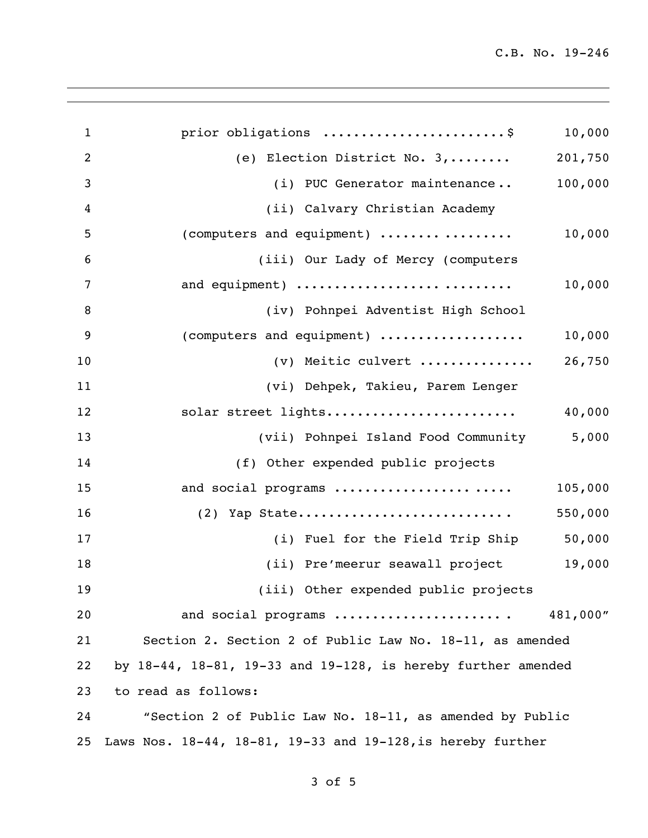| $\mathbf{1}$   | prior obligations \$                                                    | 10,000   |
|----------------|-------------------------------------------------------------------------|----------|
| $\overline{2}$ | (e) Election District No. 3,                                            | 201,750  |
| 3              | (i) PUC Generator maintenance                                           | 100,000  |
| 4              | (ii) Calvary Christian Academy                                          |          |
| 5              | (computers and equipment)                                               | 10,000   |
| 6              | (iii) Our Lady of Mercy (computers                                      |          |
| $\overline{7}$ | and equipment)                                                          | 10,000   |
| 8              | (iv) Pohnpei Adventist High School                                      |          |
| 9              | (computers and equipment)                                               | 10,000   |
| 10             | (v) Meitic culvert                                                      | 26,750   |
| 11             | (vi) Dehpek, Takieu, Parem Lenger                                       |          |
| 12             | solar street lights                                                     | 40,000   |
| 13             | (vii) Pohnpei Island Food Community                                     | 5,000    |
| 14             | (f) Other expended public projects                                      |          |
| 15             | and social programs                                                     | 105,000  |
| 16             |                                                                         | 550,000  |
| 17             | (i) Fuel for the Field Trip Ship                                        | 50,000   |
| 18             | (ii) Pre'meerur seawall project                                         | 19,000   |
| 19             | (iii) Other expended public projects                                    |          |
| 20             | and social programs                                                     | 481,000" |
| 21             | Section 2. Section 2 of Public Law No. 18-11, as amended                |          |
| 22             | by $18-44$ , $18-81$ , $19-33$ and $19-128$ , is hereby further amended |          |
| 23             | to read as follows:                                                     |          |
| 24             | "Section 2 of Public Law No. 18-11, as amended by Public                |          |
| 25             | Laws Nos. 18-44, 18-81, 19-33 and 19-128, is hereby further             |          |

of 5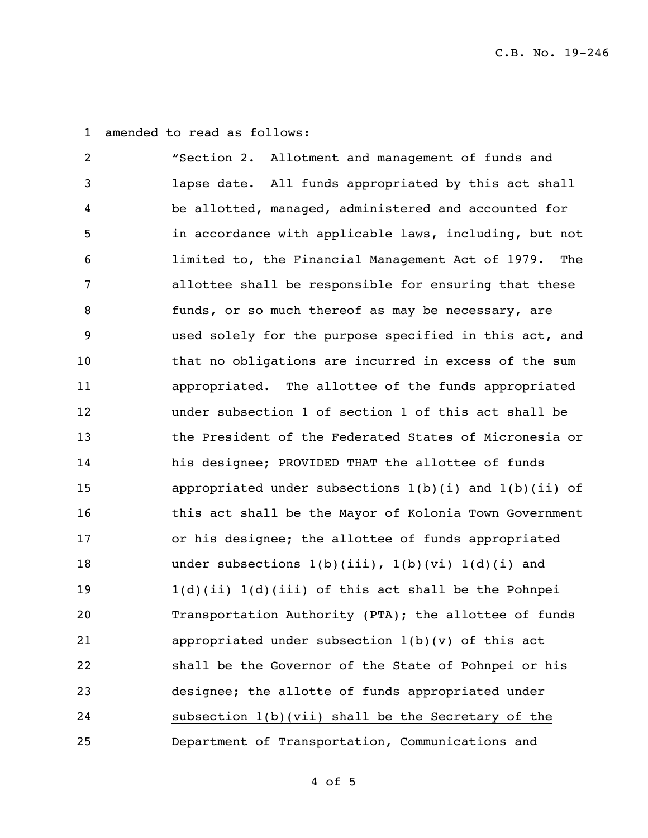amended to read as follows:

 "Section 2. Allotment and management of funds and lapse date. All funds appropriated by this act shall be allotted, managed, administered and accounted for in accordance with applicable laws, including, but not limited to, the Financial Management Act of 1979. The allottee shall be responsible for ensuring that these 8 funds, or so much thereof as may be necessary, are used solely for the purpose specified in this act, and that no obligations are incurred in excess of the sum appropriated. The allottee of the funds appropriated under subsection 1 of section 1 of this act shall be the President of the Federated States of Micronesia or his designee; PROVIDED THAT the allottee of funds 15 appropriated under subsections 1(b)(i) and 1(b)(ii) of this act shall be the Mayor of Kolonia Town Government or his designee; the allottee of funds appropriated 18 under subsections 1(b)(iii), 1(b)(vi) 1(d)(i) and 1(d)(ii) 1(d)(iii) of this act shall be the Pohnpei Transportation Authority (PTA); the allottee of funds appropriated under subsection 1(b)(v) of this act shall be the Governor of the State of Pohnpei or his designee; the allotte of funds appropriated under subsection 1(b)(vii) shall be the Secretary of the Department of Transportation, Communications and

of 5